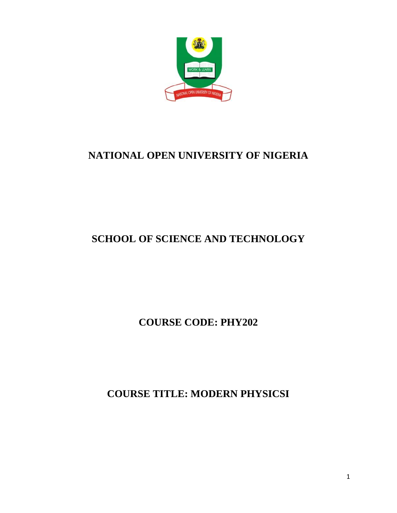

# **NATIONAL OPEN UNIVERSITY OF NIGERIA**

# **SCHOOL OF SCIENCE AND TECHNOLOGY**

**COURSE CODE: PHY202**

**COURSE TITLE: MODERN PHYSICSI**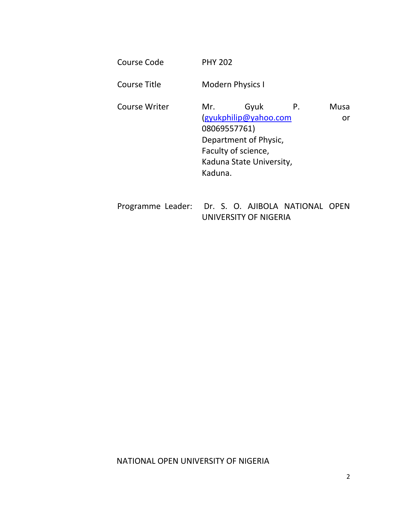| Course Code                                       | <b>PHY 202</b>                                        |                                                                                    |    |            |
|---------------------------------------------------|-------------------------------------------------------|------------------------------------------------------------------------------------|----|------------|
| Course Title                                      | <b>Modern Physics I</b>                               |                                                                                    |    |            |
| <b>Course Writer</b>                              | Mr.<br>08069557761)<br>Faculty of science,<br>Kaduna. | Gyuk<br>(gyukphilip@yahoo.com<br>Department of Physic,<br>Kaduna State University, | P. | Musa<br>or |
| Programme Leader: Dr. S. O. AJIBOLA NATIONAL OPEN |                                                       | UNIVERSITY OF NIGERIA                                                              |    |            |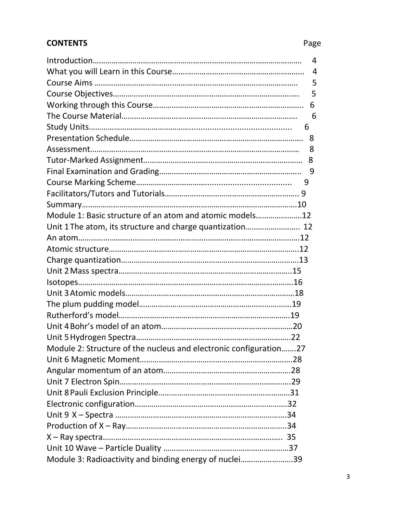# **CONTENTS** Page

|                                                                   | $\overline{4}$ |
|-------------------------------------------------------------------|----------------|
|                                                                   | $\overline{4}$ |
|                                                                   | 5              |
|                                                                   | 5              |
|                                                                   | 6              |
|                                                                   | 6              |
|                                                                   | 6              |
|                                                                   | -8             |
|                                                                   | 8              |
|                                                                   | 8              |
|                                                                   |                |
|                                                                   | 9              |
|                                                                   |                |
|                                                                   |                |
| Module 1: Basic structure of an atom and atomic models12          |                |
| Unit 1 The atom, its structure and charge quantization 12         |                |
|                                                                   |                |
|                                                                   |                |
|                                                                   |                |
|                                                                   |                |
|                                                                   |                |
|                                                                   |                |
|                                                                   |                |
|                                                                   |                |
|                                                                   |                |
|                                                                   |                |
| Module 2: Structure of the nucleus and electronic configuration27 |                |
|                                                                   |                |
|                                                                   |                |
|                                                                   |                |
|                                                                   |                |
|                                                                   |                |
|                                                                   |                |
|                                                                   |                |
|                                                                   |                |
|                                                                   |                |
| Module 3: Radioactivity and binding energy of nuclei39            |                |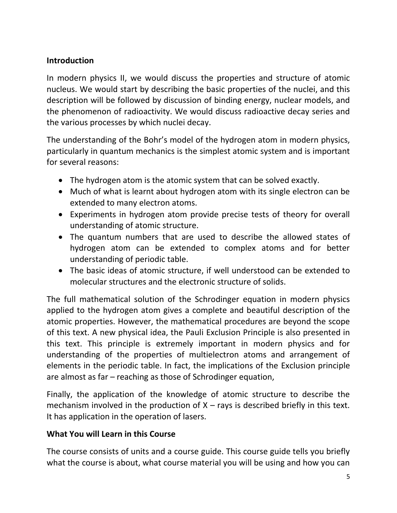### **Introduction**

In modern physics II, we would discuss the properties and structure of atomic nucleus. We would start by describing the basic properties of the nuclei, and this description will be followed by discussion of binding energy, nuclear models, and the phenomenon of radioactivity. We would discuss radioactive decay series and the various processes by which nuclei decay.

The understanding of the Bohr's model of the hydrogen atom in modern physics, particularly in quantum mechanics is the simplest atomic system and is important for several reasons:

- The hydrogen atom is the atomic system that can be solved exactly.
- Much of what is learnt about hydrogen atom with its single electron can be extended to many electron atoms.
- Experiments in hydrogen atom provide precise tests of theory for overall understanding of atomic structure.
- The quantum numbers that are used to describe the allowed states of hydrogen atom can be extended to complex atoms and for better understanding of periodic table.
- The basic ideas of atomic structure, if well understood can be extended to molecular structures and the electronic structure of solids.

The full mathematical solution of the Schrodinger equation in modern physics applied to the hydrogen atom gives a complete and beautiful description of the atomic properties. However, the mathematical procedures are beyond the scope of this text. A new physical idea, the Pauli Exclusion Principle is also presented in this text. This principle is extremely important in modern physics and for understanding of the properties of multielectron atoms and arrangement of elements in the periodic table. In fact, the implications of the Exclusion principle are almost as far – reaching as those of Schrodinger equation,

Finally, the application of the knowledge of atomic structure to describe the mechanism involved in the production of  $X$  – rays is described briefly in this text. It has application in the operation of lasers.

### **What You will Learn in this Course**

The course consists of units and a course guide. This course guide tells you briefly what the course is about, what course material you will be using and how you can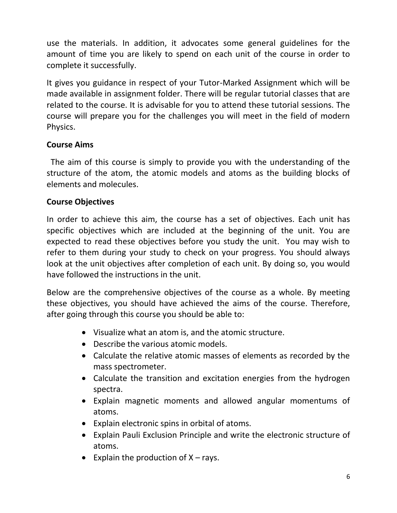use the materials. In addition, it advocates some general guidelines for the amount of time you are likely to spend on each unit of the course in order to complete it successfully.

It gives you guidance in respect of your Tutor-Marked Assignment which will be made available in assignment folder. There will be regular tutorial classes that are related to the course. It is advisable for you to attend these tutorial sessions. The course will prepare you for the challenges you will meet in the field of modern Physics.

### **Course Aims**

The aim of this course is simply to provide you with the understanding of the structure of the atom, the atomic models and atoms as the building blocks of elements and molecules.

### **Course Objectives**

In order to achieve this aim, the course has a set of objectives. Each unit has specific objectives which are included at the beginning of the unit. You are expected to read these objectives before you study the unit. You may wish to refer to them during your study to check on your progress. You should always look at the unit objectives after completion of each unit. By doing so, you would have followed the instructions in the unit.

Below are the comprehensive objectives of the course as a whole. By meeting these objectives, you should have achieved the aims of the course. Therefore, after going through this course you should be able to:

- Visualize what an atom is, and the atomic structure.
- Describe the various atomic models.
- Calculate the relative atomic masses of elements as recorded by the mass spectrometer.
- Calculate the transition and excitation energies from the hydrogen spectra.
- Explain magnetic moments and allowed angular momentums of atoms.
- Explain electronic spins in orbital of atoms.
- Explain Pauli Exclusion Principle and write the electronic structure of atoms.
- Explain the production of  $X$  rays.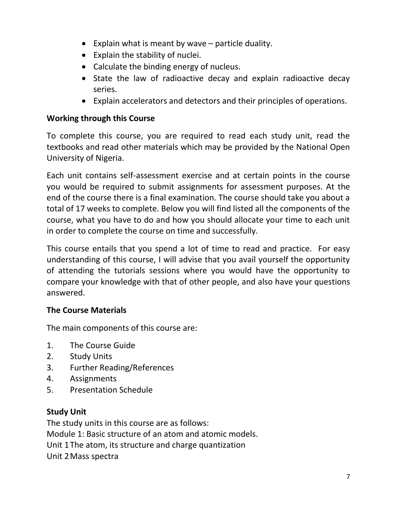- Explain what is meant by wave  $-$  particle duality.
- Explain the stability of nuclei.
- Calculate the binding energy of nucleus.
- State the law of radioactive decay and explain radioactive decay series.
- Explain accelerators and detectors and their principles of operations.

### **Working through this Course**

To complete this course, you are required to read each study unit, read the textbooks and read other materials which may be provided by the National Open University of Nigeria.

Each unit contains self-assessment exercise and at certain points in the course you would be required to submit assignments for assessment purposes. At the end of the course there is a final examination. The course should take you about a total of 17 weeks to complete. Below you will find listed all the components of the course, what you have to do and how you should allocate your time to each unit in order to complete the course on time and successfully.

This course entails that you spend a lot of time to read and practice. For easy understanding of this course, I will advise that you avail yourself the opportunity of attending the tutorials sessions where you would have the opportunity to compare your knowledge with that of other people, and also have your questions answered.

# **The Course Materials**

The main components of this course are:

- 1. The Course Guide
- 2. Study Units
- 3. Further Reading/References
- 4. Assignments
- 5. Presentation Schedule

# **Study Unit**

The study units in this course are as follows: Module 1: Basic structure of an atom and atomic models. Unit 1The atom, its structure and charge quantization Unit 2Mass spectra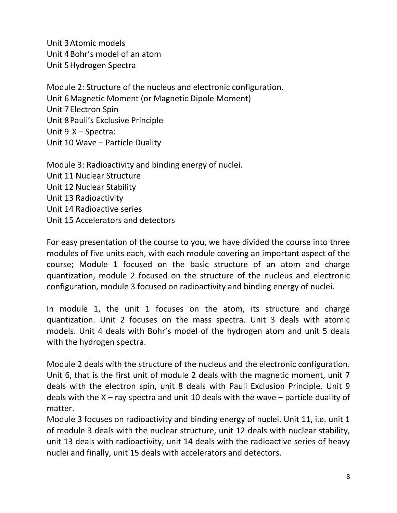Unit 3Atomic models Unit 4Bohr's model of an atom Unit 5Hydrogen Spectra

Module 2: Structure of the nucleus and electronic configuration. Unit 6Magnetic Moment (or Magnetic Dipole Moment) Unit 7Electron Spin Unit 8Pauli's Exclusive Principle Unit 9 X – Spectra: Unit 10 Wave – Particle Duality

Module 3: Radioactivity and binding energy of nuclei. Unit 11 Nuclear Structure Unit 12 Nuclear Stability Unit 13 Radioactivity Unit 14 Radioactive series Unit 15 Accelerators and detectors

For easy presentation of the course to you, we have divided the course into three modules of five units each, with each module covering an important aspect of the course; Module 1 focused on the basic structure of an atom and charge quantization, module 2 focused on the structure of the nucleus and electronic configuration, module 3 focused on radioactivity and binding energy of nuclei.

In module 1, the unit 1 focuses on the atom, its structure and charge quantization. Unit 2 focuses on the mass spectra. Unit 3 deals with atomic models. Unit 4 deals with Bohr's model of the hydrogen atom and unit 5 deals with the hydrogen spectra.

Module 2 deals with the structure of the nucleus and the electronic configuration. Unit 6, that is the first unit of module 2 deals with the magnetic moment, unit 7 deals with the electron spin, unit 8 deals with Pauli Exclusion Principle. Unit 9 deals with the X – ray spectra and unit 10 deals with the wave – particle duality of matter.

Module 3 focuses on radioactivity and binding energy of nuclei. Unit 11, i.e. unit 1 of module 3 deals with the nuclear structure, unit 12 deals with nuclear stability, unit 13 deals with radioactivity, unit 14 deals with the radioactive series of heavy nuclei and finally, unit 15 deals with accelerators and detectors.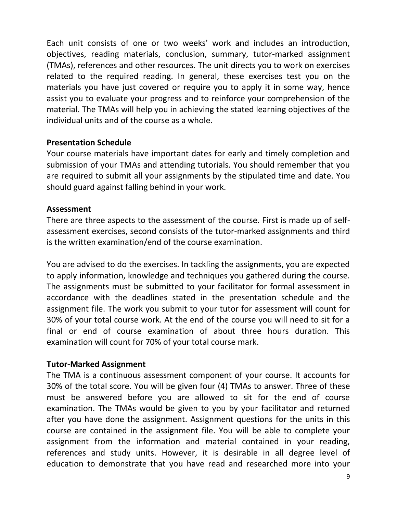Each unit consists of one or two weeks' work and includes an introduction, objectives, reading materials, conclusion, summary, tutor-marked assignment (TMAs), references and other resources. The unit directs you to work on exercises related to the required reading. In general, these exercises test you on the materials you have just covered or require you to apply it in some way, hence assist you to evaluate your progress and to reinforce your comprehension of the material. The TMAs will help you in achieving the stated learning objectives of the individual units and of the course as a whole.

#### **Presentation Schedule**

Your course materials have important dates for early and timely completion and submission of your TMAs and attending tutorials. You should remember that you are required to submit all your assignments by the stipulated time and date. You should guard against falling behind in your work.

#### **Assessment**

There are three aspects to the assessment of the course. First is made up of selfassessment exercises, second consists of the tutor-marked assignments and third is the written examination/end of the course examination.

You are advised to do the exercises. In tackling the assignments, you are expected to apply information, knowledge and techniques you gathered during the course. The assignments must be submitted to your facilitator for formal assessment in accordance with the deadlines stated in the presentation schedule and the assignment file. The work you submit to your tutor for assessment will count for 30% of your total course work. At the end of the course you will need to sit for a final or end of course examination of about three hours duration. This examination will count for 70% of your total course mark.

### **Tutor-Marked Assignment**

The TMA is a continuous assessment component of your course. It accounts for 30% of the total score. You will be given four (4) TMAs to answer. Three of these must be answered before you are allowed to sit for the end of course examination. The TMAs would be given to you by your facilitator and returned after you have done the assignment. Assignment questions for the units in this course are contained in the assignment file. You will be able to complete your assignment from the information and material contained in your reading, references and study units. However, it is desirable in all degree level of education to demonstrate that you have read and researched more into your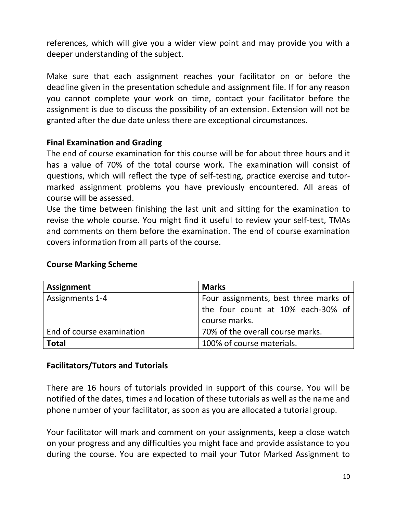references, which will give you a wider view point and may provide you with a deeper understanding of the subject.

Make sure that each assignment reaches your facilitator on or before the deadline given in the presentation schedule and assignment file. If for any reason you cannot complete your work on time, contact your facilitator before the assignment is due to discuss the possibility of an extension. Extension will not be granted after the due date unless there are exceptional circumstances.

#### **Final Examination and Grading**

The end of course examination for this course will be for about three hours and it has a value of 70% of the total course work. The examination will consist of questions, which will reflect the type of self-testing, practice exercise and tutormarked assignment problems you have previously encountered. All areas of course will be assessed.

Use the time between finishing the last unit and sitting for the examination to revise the whole course. You might find it useful to review your self-test, TMAs and comments on them before the examination. The end of course examination covers information from all parts of the course.

| <b>Assignment</b>         | <b>Marks</b>                          |
|---------------------------|---------------------------------------|
| Assignments 1-4           | Four assignments, best three marks of |
|                           | the four count at 10% each-30% of     |
|                           | course marks.                         |
| End of course examination | 70% of the overall course marks.      |
| <b>Total</b>              | 100% of course materials.             |

#### **Course Marking Scheme**

#### **Facilitators/Tutors and Tutorials**

There are 16 hours of tutorials provided in support of this course. You will be notified of the dates, times and location of these tutorials as well as the name and phone number of your facilitator, as soon as you are allocated a tutorial group.

Your facilitator will mark and comment on your assignments, keep a close watch on your progress and any difficulties you might face and provide assistance to you during the course. You are expected to mail your Tutor Marked Assignment to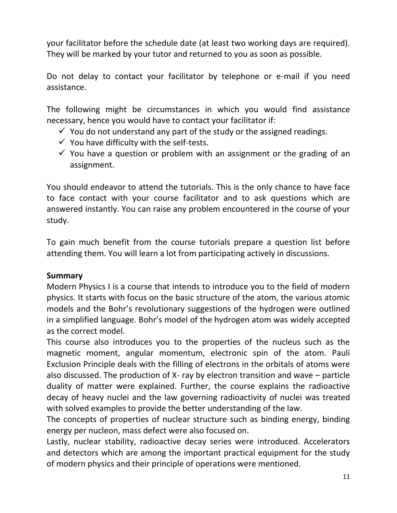your facilitator before the schedule date (at least two working days are required). They will be marked by your tutor and returned to you as soon as possible.

Do not delay to contact your facilitator by telephone or e-mail if you need assistance.

The following might be circumstances in which you would find assistance necessary, hence you would have to contact your facilitator if:

- $\checkmark$  You do not understand any part of the study or the assigned readings.
- $\checkmark$  You have difficulty with the self-tests.
- $\checkmark$  You have a question or problem with an assignment or the grading of an assignment.

You should endeavor to attend the tutorials. This is the only chance to have face to face contact with your course facilitator and to ask questions which are answered instantly. You can raise any problem encountered in the course of your study.

To gain much benefit from the course tutorials prepare a question list before attending them. You will learn a lot from participating actively in discussions.

#### **Summary**

Modern Physics I is a course that intends to introduce you to the field of modern physics. It starts with focus on the basic structure of the atom, the various atomic models and the Bohr's revolutionary suggestions of the hydrogen were outlined in a simplified language. Bohr's model of the hydrogen atom was widely accepted as the correct model.

This course also introduces you to the properties of the nucleus such as the magnetic moment, angular momentum, electronic spin of the atom. Pauli Exclusion Principle deals with the filling of electrons in the orbitals of atoms were also discussed. The production of X- ray by electron transition and wave – particle duality of matter were explained. Further, the course explains the radioactive decay of heavy nuclei and the law governing radioactivity of nuclei was treated with solved examples to provide the better understanding of the law.

The concepts of properties of nuclear structure such as binding energy, binding energy per nucleon, mass defect were also focused on.

Lastly, nuclear stability, radioactive decay series were introduced. Accelerators and detectors which are among the important practical equipment for the study of modern physics and their principle of operations were mentioned.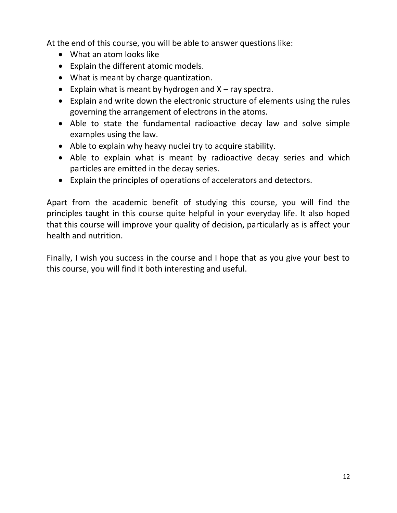At the end of this course, you will be able to answer questions like:

- What an atom looks like
- Explain the different atomic models.
- What is meant by charge quantization.
- Explain what is meant by hydrogen and  $X$  ray spectra.
- Explain and write down the electronic structure of elements using the rules governing the arrangement of electrons in the atoms.
- Able to state the fundamental radioactive decay law and solve simple examples using the law.
- Able to explain why heavy nuclei try to acquire stability.
- Able to explain what is meant by radioactive decay series and which particles are emitted in the decay series.
- Explain the principles of operations of accelerators and detectors.

Apart from the academic benefit of studying this course, you will find the principles taught in this course quite helpful in your everyday life. It also hoped that this course will improve your quality of decision, particularly as is affect your health and nutrition.

Finally, I wish you success in the course and I hope that as you give your best to this course, you will find it both interesting and useful.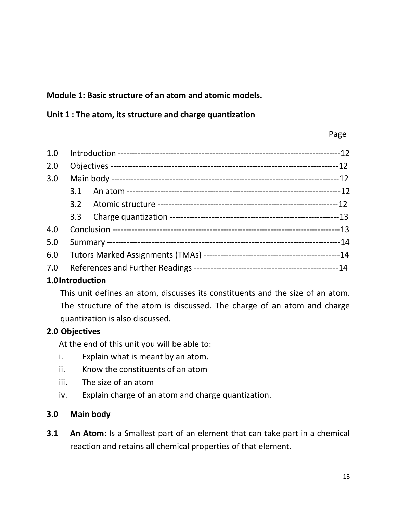### **Module 1: Basic structure of an atom and atomic models.**

#### **Unit 1 : The atom, its structure and charge quantization**

#### Page

| 3.1 |  |
|-----|--|
|     |  |
| 3.3 |  |
|     |  |
|     |  |
|     |  |
| 7.0 |  |
|     |  |

#### **1.0Introduction**

This unit defines an atom, discusses its constituents and the size of an atom. The structure of the atom is discussed. The charge of an atom and charge quantization is also discussed.

#### **2.0 Objectives**

At the end of this unit you will be able to:

- i. Explain what is meant by an atom.
- ii. Know the constituents of an atom
- iii. The size of an atom
- iv. Explain charge of an atom and charge quantization.

#### **3.0 Main body**

**3.1 An Atom**: Is a Smallest part of an element that can take part in a chemical reaction and retains all chemical properties of that element.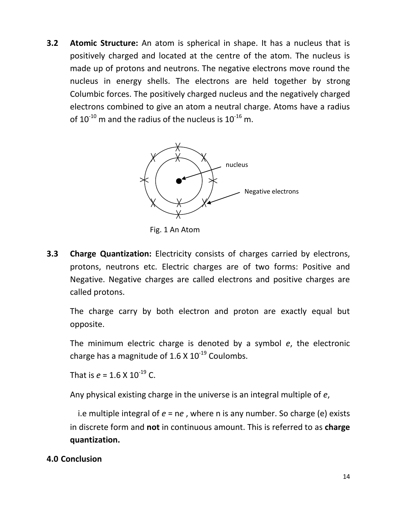**3.2 Atomic Structure:** An atom is spherical in shape. It has a nucleus that is positively charged and located at the centre of the atom. The nucleus is made up of protons and neutrons. The negative electrons move round the nucleus in energy shells. The electrons are held together by strong Columbic forces. The positively charged nucleus and the negatively charged electrons combined to give an atom a neutral charge. Atoms have a radius of  $10^{-10}$  m and the radius of the nucleus is  $10^{-16}$  m.



Fig. 1 An Atom

**3.3 Charge Quantization:** Electricity consists of charges carried by electrons, protons, neutrons etc. Electric charges are of two forms: Positive and Negative. Negative charges are called electrons and positive charges are called protons.

The charge carry by both electron and proton are exactly equal but opposite.

The minimum electric charge is denoted by a symbol *e*, the electronic charge has a magnitude of  $1.6$  X  $10^{-19}$  Coulombs.

That is  $e = 1.6 \times 10^{-19}$  C.

Any physical existing charge in the universe is an integral multiple of *e*,

i.e multiple integral of *e* = n*e* , where n is any number. So charge (e) exists in discrete form and **not** in continuous amount. This is referred to as **charge quantization.**

#### **4.0 Conclusion**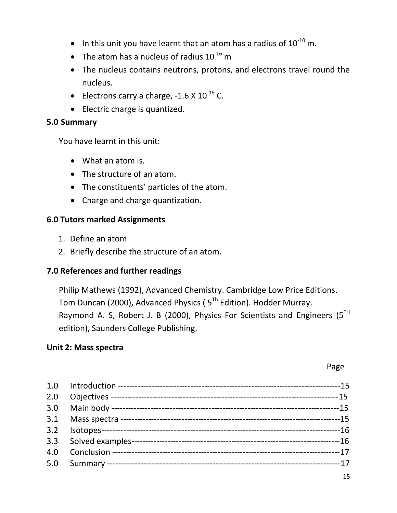- In this unit you have learnt that an atom has a radius of  $10^{-10}$  m.
- The atom has a nucleus of radius  $10^{-16}$  m
- The nucleus contains neutrons, protons, and electrons travel round the nucleus.
- Electrons carry a charge, -1.6 X  $10^{-19}$  C.
- Electric charge is quantized.

#### **5.0 Summary**

You have learnt in this unit:

- What an atom is.
- The structure of an atom.
- The constituents' particles of the atom.
- Charge and charge quantization.

### **6.0 Tutors marked Assignments**

- 1. Define an atom
- 2. Briefly describe the structure of an atom.

### **7.0 References and further readings**

Philip Mathews (1992), Advanced Chemistry. Cambridge Low Price Editions. Tom Duncan (2000), Advanced Physics ( $5<sup>Th</sup> Edition$ ). Hodder Murray. Raymond A. S, Robert J. B (2000), Physics For Scientists and Engineers ( $5<sup>TH</sup>$ edition), Saunders College Publishing.

### **Unit 2: Mass spectra**

Page

| 2.0 |                       |  |
|-----|-----------------------|--|
| 3.0 |                       |  |
| 3.1 |                       |  |
| 3.2 |                       |  |
|     | 3.3 Solved examples-- |  |
| 4.0 |                       |  |
| 5.0 |                       |  |
|     |                       |  |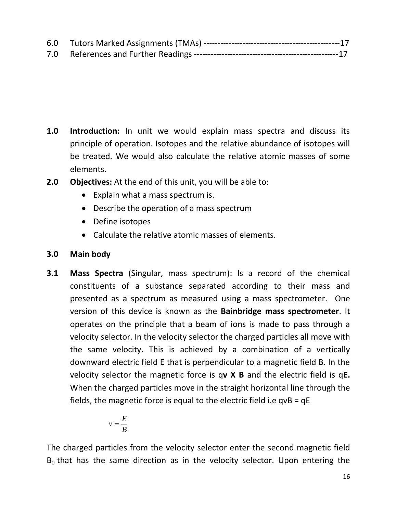- **1.0 Introduction:** In unit we would explain mass spectra and discuss its principle of operation. Isotopes and the relative abundance of isotopes will be treated. We would also calculate the relative atomic masses of some elements.
- **2.0 Objectives:** At the end of this unit, you will be able to:
	- Explain what a mass spectrum is.
	- Describe the operation of a mass spectrum
	- Define isotopes
	- Calculate the relative atomic masses of elements.

### **3.0 Main body**

**3.1 Mass Spectra** (Singular, mass spectrum): Is a record of the chemical constituents of a substance separated according to their mass and presented as a spectrum as measured using a mass spectrometer. One version of this device is known as the **Bainbridge mass spectrometer**. It operates on the principle that a beam of ions is made to pass through a velocity selector. In the velocity selector the charged particles all move with the same velocity. This is achieved by a combination of a vertically downward electric field E that is perpendicular to a magnetic field B. In the velocity selector the magnetic force is q**v X B** and the electric field is q**E.**  When the charged particles move in the straight horizontal line through the fields, the magnetic force is equal to the electric field i.e  $qvB = qE$ 

$$
v=\frac{E}{B}
$$

The charged particles from the velocity selector enter the second magnetic field  $B<sub>0</sub>$  that has the same direction as in the velocity selector. Upon entering the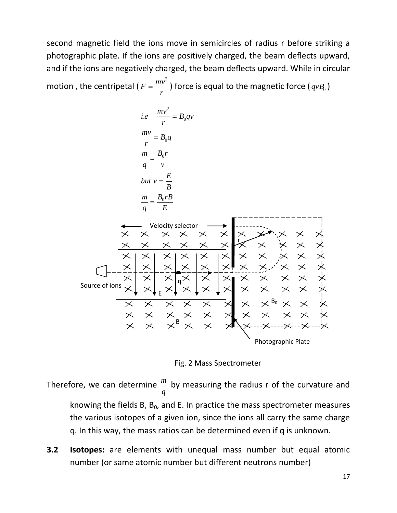second magnetic field the ions move in semicircles of radius r before striking a photographic plate. If the ions are positively charged, the beam deflects upward, and if the ions are negatively charged, the beam deflects upward. While in circular

motion , the centripetal ( *r*  $F = \frac{mv^2}{2}$  $=\frac{mv}{m}$  ) force is equal to the magnetic force (  $q v B_0$  )

*i.e* 
$$
\frac{mv^2}{r} = B_0qv
$$

$$
\frac{mv}{r} = B_0q
$$

$$
\frac{m}{q} = \frac{B_0r}{v}
$$

$$
but \quad v = \frac{E}{B}
$$

$$
\frac{m}{q} = \frac{B_0rB}{E}
$$



Fig. 2 Mass Spectrometer

Therefore, we can determine *q m* by measuring the radius r of the curvature and knowing the fields B,  $B_0$ , and E. In practice the mass spectrometer measures the various isotopes of a given ion, since the ions all carry the same charge q. In this way, the mass ratios can be determined even if q is unknown.

**3.2 Isotopes:** are elements with unequal mass number but equal atomic number (or same atomic number but different neutrons number)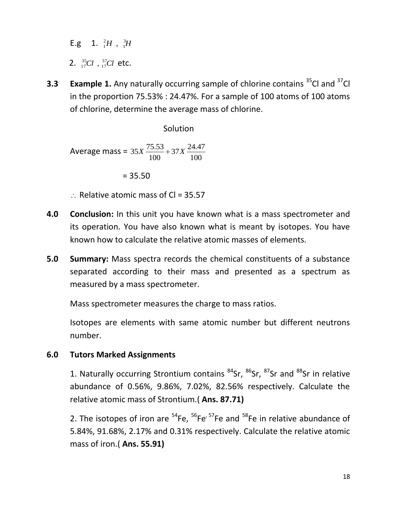E.g 1.  ${}^{2}_{1}H$ ,  ${}^{3}_{1}H$ 1 2  $^2_1H$  ,

**2.**  ${}^{35}_{17}Cl$  ,  ${}^{37}_{17}Cl$  $^{35}_{17}Cl$ ,  $^{37}_{17}Cl$  etc.

**3.3 Example 1.** Any naturally occurring sample of chlorine contains <sup>35</sup>Cl and <sup>37</sup>Cl in the proportion 75.53% : 24.47%. For a sample of 100 atoms of 100 atoms of chlorine, determine the average mass of chlorine.

**Solution** 

Average mass = 100  $37X\frac{24.47}{100}$ 100  $35X \frac{75.53}{100} + 37X$ 

 $= 35.50$ 

 $\therefore$  Relative atomic mass of Cl = 35.57

- **4.0 Conclusion:** In this unit you have known what is a mass spectrometer and its operation. You have also known what is meant by isotopes. You have known how to calculate the relative atomic masses of elements.
- **5.0 Summary:** Mass spectra records the chemical constituents of a substance separated according to their mass and presented as a spectrum as measured by a mass spectrometer.

Mass spectrometer measures the charge to mass ratios.

Isotopes are elements with same atomic number but different neutrons number.

#### **6.0 Tutors Marked Assignments**

1. Naturally occurring Strontium contains  $^{84}$ Sr,  $^{86}$ Sr,  $^{87}$ Sr and  $^{88}$ Sr in relative abundance of 0.56%, 9.86%, 7.02%, 82.56% respectively. Calculate the relative atomic mass of Strontium.( **Ans. 87.71)**

2. The isotopes of iron are  $^{54}$ Fe,  $^{56}$ Fe',  $^{57}$ Fe and  $^{58}$ Fe in relative abundance of 5.84%, 91.68%, 2.17% and 0.31% respectively. Calculate the relative atomic mass of iron.( **Ans. 55.91)**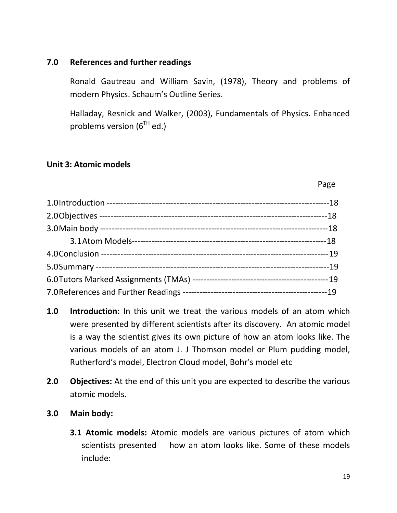#### **7.0 References and further readings**

Ronald Gautreau and William Savin, (1978), Theory and problems of modern Physics. Schaum's Outline Series.

Halladay, Resnick and Walker, (2003), Fundamentals of Physics. Enhanced problems version  $(6^{TH}$  ed.)

#### **Unit 3: Atomic models**

Page

- **1.0 Introduction:** In this unit we treat the various models of an atom which were presented by different scientists after its discovery. An atomic model is a way the scientist gives its own picture of how an atom looks like. The various models of an atom J. J Thomson model or Plum pudding model, Rutherford's model, Electron Cloud model, Bohr's model etc
- **2.0 Objectives:** At the end of this unit you are expected to describe the various atomic models.
- **3.0 Main body:**
	- **3.1 Atomic models:** Atomic models are various pictures of atom which scientists presented how an atom looks like. Some of these models include: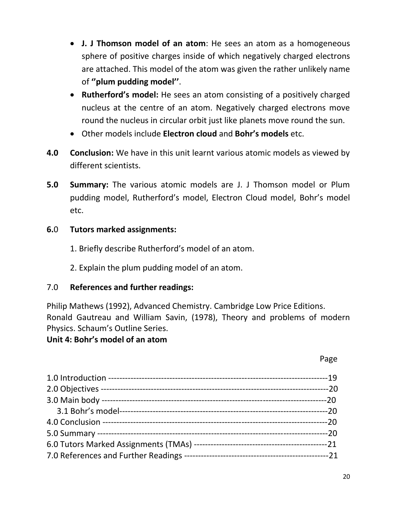- **J. J Thomson model of an atom**: He sees an atom as a homogeneous sphere of positive charges inside of which negatively charged electrons are attached. This model of the atom was given the rather unlikely name of **''plum pudding model''**.
- **Rutherford's model:** He sees an atom consisting of a positively charged nucleus at the centre of an atom. Negatively charged electrons move round the nucleus in circular orbit just like planets move round the sun.
- Other models include **Electron cloud** and **Bohr's models** etc.
- **4.0 Conclusion:** We have in this unit learnt various atomic models as viewed by different scientists.
- **5.0 Summary:** The various atomic models are J. J Thomson model or Plum pudding model, Rutherford's model, Electron Cloud model, Bohr's model etc.

#### **6.**0 **Tutors marked assignments:**

- 1. Briefly describe Rutherford's model of an atom.
- 2. Explain the plum pudding model of an atom.

### 7.0 **References and further readings:**

Philip Mathews (1992), Advanced Chemistry. Cambridge Low Price Editions. Ronald Gautreau and William Savin, (1978), Theory and problems of modern Physics. Schaum's Outline Series.

### **Unit 4: Bohr's model of an atom**

Page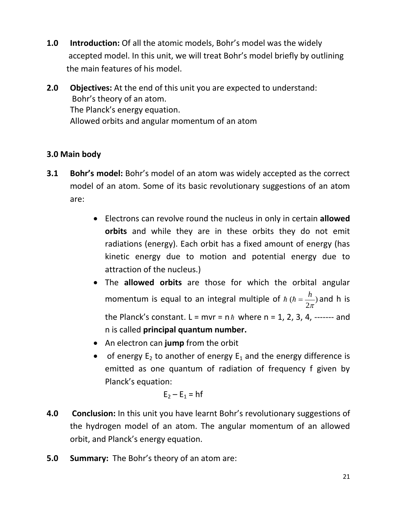- **1.0 Introduction:** Of all the atomic models, Bohr's model was the widely accepted model. In this unit, we will treat Bohr's model briefly by outlining the main features of his model.
- **2.0 Objectives:** At the end of this unit you are expected to understand: Bohr's theory of an atom. The Planck's energy equation. Allowed orbits and angular momentum of an atom

# **3.0 Main body**

- **3.1 Bohr's model:** Bohr's model of an atom was widely accepted as the correct model of an atom. Some of its basic revolutionary suggestions of an atom are:
	- Electrons can revolve round the nucleus in only in certain **allowed orbits** and while they are in these orbits they do not emit radiations (energy). Each orbit has a fixed amount of energy (has kinetic energy due to motion and potential energy due to attraction of the nucleus.)
	- The **allowed orbits** are those for which the orbital angular momentum is equal to an integral multiple of  $\hbar$  ( $\hbar = \frac{\hbar}{2}$ ) 2  $(h=\frac{n}{2\pi})$  $\hbar$  ( $\hbar = \frac{h}{2}$ ) and h is the Planck's constant.  $L = mvr = n \hbar$  where  $n = 1, 2, 3, 4,$  ------- and n is called **principal quantum number.**
	- An electron can **jump** from the orbit
	- of energy  $E_2$  to another of energy  $E_1$  and the energy difference is emitted as one quantum of radiation of frequency f given by Planck's equation:

$$
E_2 - E_1 = hf
$$

- **4.0 Conclusion:** In this unit you have learnt Bohr's revolutionary suggestions of the hydrogen model of an atom. The angular momentum of an allowed orbit, and Planck's energy equation.
- **5.0 Summary:** The Bohr's theory of an atom are: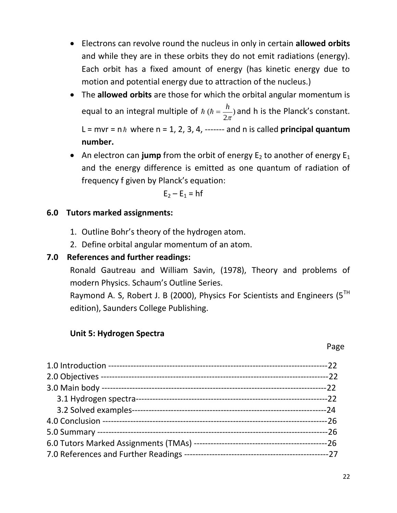- Electrons can revolve round the nucleus in only in certain **allowed orbits** and while they are in these orbits they do not emit radiations (energy). Each orbit has a fixed amount of energy (has kinetic energy due to motion and potential energy due to attraction of the nucleus.)
- The **allowed orbits** are those for which the orbital angular momentum is equal to an integral multiple of  $\hbar$  ( $\hbar = \frac{n}{2}$ ) 2  $(h=\frac{n}{2\pi})$  $h(h = \frac{h}{2})$  and h is the Planck's constant.  $L = mvr = n \hbar$  where  $n = 1, 2, 3, 4, ----$  and n is called **principal quantum number.**
- An electron can **jump** from the orbit of energy  $E_2$  to another of energy  $E_1$ and the energy difference is emitted as one quantum of radiation of frequency f given by Planck's equation:

$$
E_2 - E_1 = hf
$$

#### **6.0 Tutors marked assignments:**

- 1. Outline Bohr's theory of the hydrogen atom.
- 2. Define orbital angular momentum of an atom.

#### **7.0 References and further readings:**

Ronald Gautreau and William Savin, (1978), Theory and problems of modern Physics. Schaum's Outline Series.

Raymond A. S, Robert J. B (2000), Physics For Scientists and Engineers ( $5<sup>TH</sup>$ edition), Saunders College Publishing.

### **Unit 5: Hydrogen Spectra**

Page

| 3.1 Hydrogen spectra--                |  |
|---------------------------------------|--|
|                                       |  |
|                                       |  |
|                                       |  |
|                                       |  |
| 7.0 References and Further Readings - |  |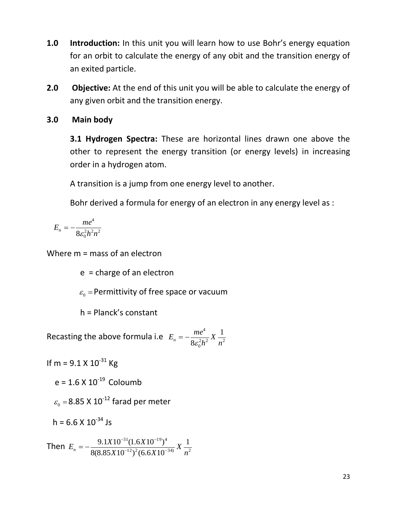- **1.0 Introduction:** In this unit you will learn how to use Bohr's energy equation for an orbit to calculate the energy of any obit and the transition energy of an exited particle.
- **2.0 Objective:** At the end of this unit you will be able to calculate the energy of any given orbit and the transition energy.

#### **3.0 Main body**

**3.1 Hydrogen Spectra:** These are horizontal lines drawn one above the other to represent the energy transition (or energy levels) in increasing order in a hydrogen atom.

A transition is a jump from one energy level to another.

Bohr derived a formula for energy of an electron in any energy level as :

$$
E_n=-\frac{me^4}{8\varepsilon_0^2h^2n^2}
$$

Where m = mass of an electron

e = charge of an electron

 $\varepsilon_{\text{o}}$  = Permittivity of free space or vacuum

h = Planck's constant

Recasting the above formula i.e  $E_n = -\frac{me}{8\sigma^2h^2}X\frac{1}{r^2}$ 0 <sup>4</sup>  $\frac{1}{\sqrt{2}}$  $8\varepsilon_0^2 h^2$  n *X*  $E_n = -\frac{me^4}{8\varepsilon_0^2h}$ 

If m =  $9.1 \times 10^{-31}$  Kg

- $e = 1.6 \times 10^{-19}$  Coloumb
- $\varepsilon_{0}$  = 8.85 X 10<sup>-12</sup> farad per meter

$$
h = 6.6 \times 10^{-34} \text{ Js}
$$

Then  $E_n = -\frac{9.1 \lambda 10^{9} (1.0 \lambda 10^{9})}{8(8.85 \lambda 10^{-12})^2 (6.6 \lambda 10^{-34})} X \frac{1}{n^2}$  $3^{31}(1.6X10^{-19})^{4}$  y 1  $8(8.85X10^{-12})^2(6.6X10$  $9.1 X 10^{-31} (1.6 X 10^{-19})$ *n X*  $X10^{-12})^2$ (6.6*X*  $E_n = -\frac{9.1X10^{-31}(1.6X10^{-19})^4}{9(9.85 \times 10^{-12})^2 (6.6 \times 10^{-19})^4}$  $-31/1$   $\leq$  V10<sup>-1</sup>  $=$   $-$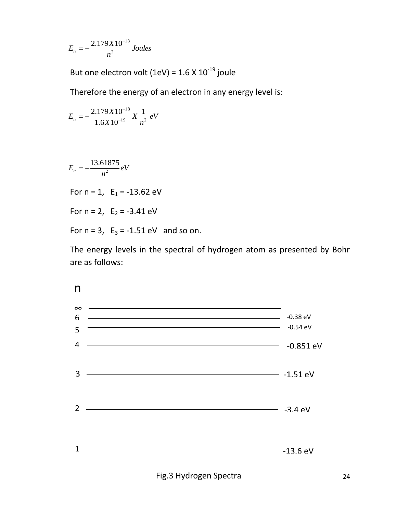$$
E_n = -\frac{2.179X10^{-18}}{n^2}Joules
$$

But one electron volt (1eV) =  $1.6$  X  $10^{-19}$  joule

Therefore the energy of an electron in any energy level is:

$$
E_n = -\frac{2.179X10^{-18}}{1.6X10^{-19}}X\frac{1}{n^2}eV
$$

$$
E_n = -\frac{13.61875}{n^2}eV
$$

For  $n = 1$ ,  $E_1 = -13.62$  eV

For  $n = 2$ ,  $E_2 = -3.41$  eV

For  $n = 3$ ,  $E_3 = -1.51$  eV and so on.

The energy levels in the spectral of hydrogen atom as presented by Bohr are as follows:



Fig.3 Hydrogen Spectra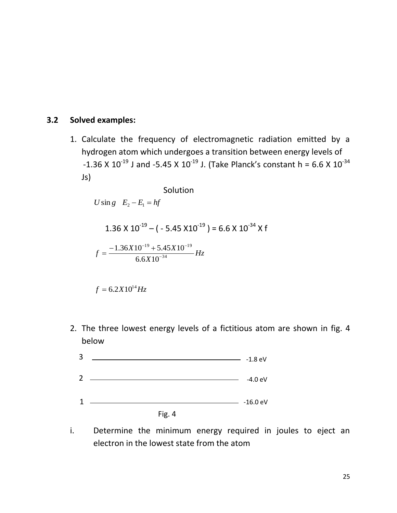#### **3.2 Solved examples:**

1. Calculate the frequency of electromagnetic radiation emitted by a hydrogen atom which undergoes a transition between energy levels of -1.36 X  $10^{-19}$  J and -5.45 X  $10^{-19}$  J. (Take Planck's constant h = 6.6 X  $10^{-34}$ Js)

Solution  
\n
$$
U \sin g \quad E_2 - E_1 = hf
$$
\n
$$
1.36 \times 10^{-19} - (-5.45 \times 10^{-19}) = 6.6 \times 10^{-34} \times f
$$
\n
$$
f = \frac{-1.36X10^{-19} + 5.45X10^{-19}}{6.6X10^{-34}} Hz
$$

$$
f = 6.2X10^{14} Hz
$$

2. The three lowest energy levels of a fictitious atom are shown in fig. 4 below



i. Determine the minimum energy required in joules to eject an electron in the lowest state from the atom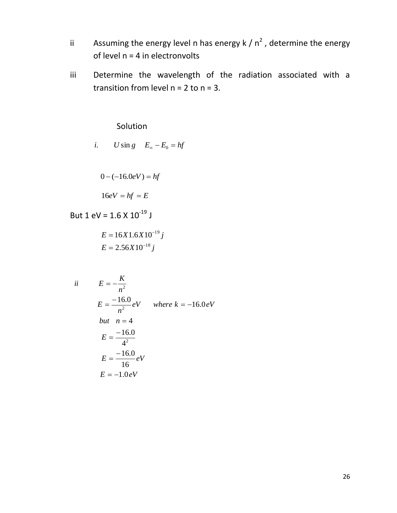- ii Assuming the energy level n has energy k /  $n^2$  , determine the energy of level n = 4 in electronvolts
- iii Determine the wavelength of the radiation associated with a transition from level  $n = 2$  to  $n = 3$ .

Solution

*i*.  $U \sin g$   $E_{\infty} - E_0 = hf$ 

$$
0 - (-16.0eV) = hf
$$

$$
16eV = hf = E
$$

But  $1 \text{ eV} = 1.6 \times 10^{-19} \text{ J}$ 

 $E = 2.56X10^{-18} j$  $E = 16X1.6X10^{-19}j$ 

$$
E = -\frac{K}{n^2}
$$
  
\n
$$
E = \frac{-16.0}{n^2}eV \quad \text{where } k = -16.0eV
$$
  
\nbut  $n = 4$   
\n
$$
E = \frac{-16.0}{4^2}
$$
  
\n
$$
E = \frac{-16.0}{16}eV
$$
  
\n
$$
E = -1.0eV
$$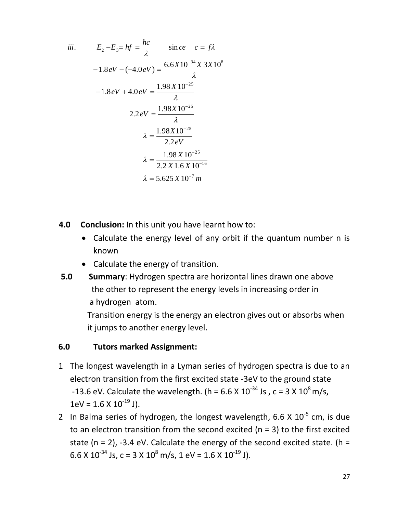iii. 
$$
E_2 - E_3 = hf = \frac{hc}{\lambda}
$$
  $\sin ce$   $c = f\lambda$   
\n
$$
-1.8eV - (-4.0eV) = \frac{6.6X10^{-34} X 3X10^8}{\lambda}
$$
\n
$$
-1.8eV + 4.0eV = \frac{1.98X10^{-25}}{\lambda}
$$
\n
$$
2.2eV = \frac{1.98X10^{-25}}{\lambda}
$$
\n
$$
\lambda = \frac{1.98X10^{-25}}{2.2eV}
$$
\n
$$
\lambda = \frac{1.98X10^{-25}}{2.2X1.6X10^{-16}}
$$
\n
$$
\lambda = 5.625X10^{-7} m
$$

- **4.0 Conclusion:** In this unit you have learnt how to:
	- Calculate the energy level of any orbit if the quantum number n is known
	- Calculate the energy of transition.
- **5.0 Summary**: Hydrogen spectra are horizontal lines drawn one above the other to represent the energy levels in increasing order in a hydrogen atom.

 Transition energy is the energy an electron gives out or absorbs when it jumps to another energy level.

#### **6.0 Tutors marked Assignment:**

- 1 The longest wavelength in a Lyman series of hydrogen spectra is due to an electron transition from the first excited state -3eV to the ground state -13.6 eV. Calculate the wavelength. (h =  $6.6$  X  $10^{-34}$  Js, c =  $3$  X  $10^8$  m/s,  $1 \text{eV} = 1.6 \times 10^{-19} \text{ J}.$
- 2 In Balma series of hydrogen, the longest wavelength, 6.6 X  $10^{-5}$  cm, is due to an electron transition from the second excited ( $n = 3$ ) to the first excited state ( $n = 2$ ), -3.4 eV. Calculate the energy of the second excited state. ( $h =$ 6.6 X  $10^{-34}$  Js, c = 3 X  $10^8$  m/s, 1 eV = 1.6 X  $10^{-19}$  J).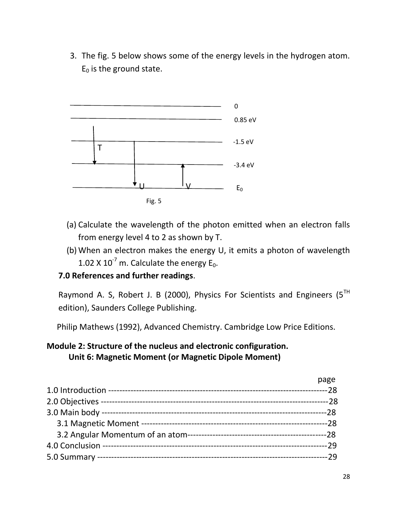3. The fig. 5 below shows some of the energy levels in the hydrogen atom.  $E_0$  is the ground state.



- (a) Calculate the wavelength of the photon emitted when an electron falls from energy level 4 to 2 as shown by T.
- (b) When an electron makes the energy U, it emits a photon of wavelength 1.02 X 10 $^{-7}$  m. Calculate the energy  $E_0$ .

# **7.0 References and further readings**.

Raymond A. S, Robert J. B (2000), Physics For Scientists and Engineers ( $5^{TH}$ edition), Saunders College Publishing.

Philip Mathews (1992), Advanced Chemistry. Cambridge Low Price Editions.

### **Module 2: Structure of the nucleus and electronic configuration. Unit 6: Magnetic Moment (or Magnetic Dipole Moment)**

| page |
|------|
|      |
|      |
|      |
|      |
|      |
|      |
|      |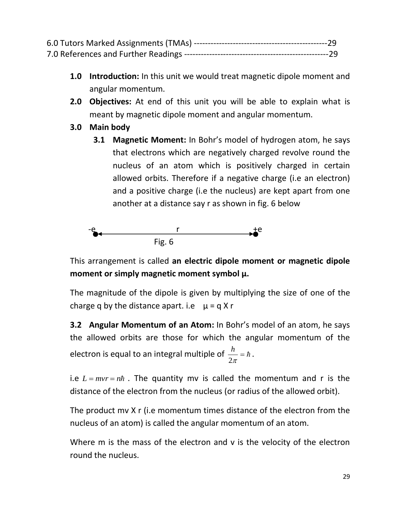- **1.0 Introduction:** In this unit we would treat magnetic dipole moment and angular momentum.
- **2.0 Objectives:** At end of this unit you will be able to explain what is meant by magnetic dipole moment and angular momentum.
- **3.0 Main body**
	- **3.1 Magnetic Moment:** In Bohr's model of hydrogen atom, he says that electrons which are negatively charged revolve round the nucleus of an atom which is positively charged in certain allowed orbits. Therefore if a negative charge (i.e an electron) and a positive charge (i.e the nucleus) are kept apart from one another at a distance say r as shown in fig. 6 below



This arrangement is called **an electric dipole moment or magnetic dipole moment or simply magnetic moment symbol µ.**

The magnitude of the dipole is given by multiplying the size of one of the charge q by the distance apart. i.e  $\mu = q X r$ 

**3.2 Angular Momentum of an Atom:** In Bohr's model of an atom, he says the allowed orbits are those for which the angular momentum of the electron is equal to an integral multiple of  $\frac{n}{2} = \hbar$  $2\pi$  $\frac{h}{\cdot} = \hbar$ .

i.e  $L = mvr = n\hbar$ . The quantity mv is called the momentum and r is the distance of the electron from the nucleus (or radius of the allowed orbit).

The product mv X r (i.e momentum times distance of the electron from the nucleus of an atom) is called the angular momentum of an atom.

Where m is the mass of the electron and v is the velocity of the electron round the nucleus.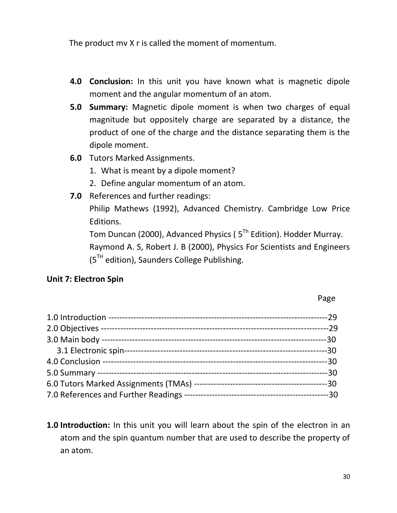The product mv X r is called the moment of momentum.

- **4.0 Conclusion:** In this unit you have known what is magnetic dipole moment and the angular momentum of an atom.
- **5.0 Summary:** Magnetic dipole moment is when two charges of equal magnitude but oppositely charge are separated by a distance, the product of one of the charge and the distance separating them is the dipole moment.
- **6.0** Tutors Marked Assignments.
	- 1. What is meant by a dipole moment?
	- 2. Define angular momentum of an atom.
- **7.0** References and further readings:

Philip Mathews (1992), Advanced Chemistry. Cambridge Low Price Editions.

Tom Duncan (2000), Advanced Physics ( $5<sup>Th</sup> Edition$ ). Hodder Murray. Raymond A. S, Robert J. B (2000), Physics For Scientists and Engineers (5<sup>TH</sup> edition), Saunders College Publishing.

### **Unit 7: Electron Spin**

Page

| 3.1 Electronic spin-                |       |
|-------------------------------------|-------|
|                                     |       |
|                                     | $-30$ |
|                                     |       |
| 7.0 References and Further Readings | $-30$ |
|                                     |       |

**1.0 Introduction:** In this unit you will learn about the spin of the electron in an atom and the spin quantum number that are used to describe the property of an atom.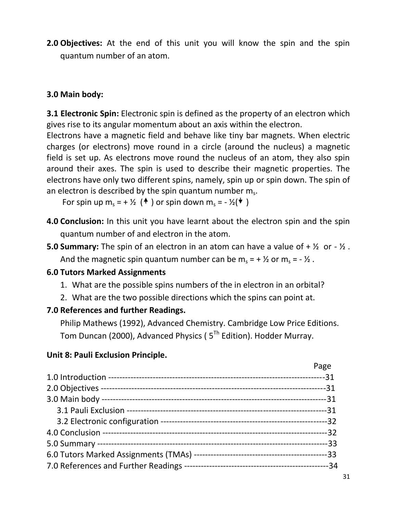**2.0 Objectives:** At the end of this unit you will know the spin and the spin quantum number of an atom.

### **3.0 Main body:**

**3.1 Electronic Spin:** Electronic spin is defined as the property of an electron which gives rise to its angular momentum about an axis within the electron.

Electrons have a magnetic field and behave like tiny bar magnets. When electric charges (or electrons) move round in a circle (around the nucleus) a magnetic field is set up. As electrons move round the nucleus of an atom, they also spin around their axes. The spin is used to describe their magnetic properties. The electrons have only two different spins, namely, spin up or spin down. The spin of an electron is described by the spin quantum number  $m_s$ .

For spin up  $m_s = + \frac{1}{2}$  (<sup>4</sup>) or spin down  $m_s = -\frac{1}{2}$ ( $\overrightarrow{v}$ )

- **4.0 Conclusion:** In this unit you have learnt about the electron spin and the spin quantum number of and electron in the atom.
- **5.0 Summary:** The spin of an electron in an atom can have a value of + ½ or ½ . And the magnetic spin quantum number can be  $m_s = + 1/2$  or  $m_s = -1/2$ .

### **6.0 Tutors Marked Assignments**

- 1. What are the possible spins numbers of the in electron in an orbital?
- 2. What are the two possible directions which the spins can point at.

#### **7.0 References and further Readings.**

Philip Mathews (1992), Advanced Chemistry. Cambridge Low Price Editions. Tom Duncan (2000), Advanced Physics ( $5<sup>Th</sup> Edition$ ). Hodder Murray.

### **Unit 8: Pauli Exclusion Principle.**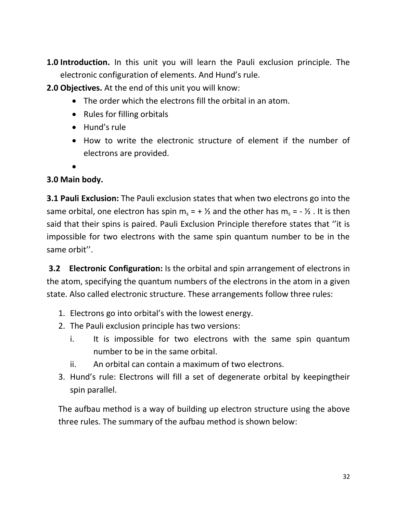- **1.0 Introduction.** In this unit you will learn the Pauli exclusion principle. The electronic configuration of elements. And Hund's rule.
- **2.0 Objectives.** At the end of this unit you will know:
	- The order which the electrons fill the orbital in an atom.
	- Rules for filling orbitals
	- Hund's rule
	- How to write the electronic structure of element if the number of electrons are provided.
	- $\bullet$

### **3.0 Main body.**

**3.1 Pauli Exclusion:** The Pauli exclusion states that when two electrons go into the same orbital, one electron has spin  $m_s = + \frac{1}{2}$  and the other has  $m_s = - \frac{1}{2}$ . It is then said that their spins is paired. Pauli Exclusion Principle therefore states that ''it is impossible for two electrons with the same spin quantum number to be in the same orbit''.

**3.2 Electronic Configuration:** Is the orbital and spin arrangement of electrons in the atom, specifying the quantum numbers of the electrons in the atom in a given state. Also called electronic structure. These arrangements follow three rules:

- 1. Electrons go into orbital's with the lowest energy.
- 2. The Pauli exclusion principle has two versions:
	- i. It is impossible for two electrons with the same spin quantum number to be in the same orbital.
	- ii. An orbital can contain a maximum of two electrons.
- 3. Hund's rule: Electrons will fill a set of degenerate orbital by keepingtheir spin parallel.

The aufbau method is a way of building up electron structure using the above three rules. The summary of the aufbau method is shown below: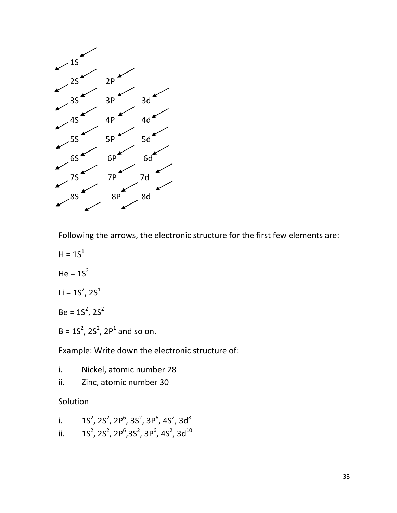

Following the arrows, the electronic structure for the first few elements are:

 $H = 1S<sup>1</sup>$  $He = 1S<sup>2</sup>$  $Li = 1S^2, 2S^1$  $Be = 1S^2$ , 2S<sup>2</sup>  $B = 1S^2$ , 2S<sup>2</sup>, 2P<sup>1</sup> and so on.

Example: Write down the electronic structure of:

- i. Nickel, atomic number 28
- ii. Zinc, atomic number 30

Solution

- i.  $1S^2$ ,  $2S^2$ ,  $2P^6$ ,  $3S^2$ ,  $3P^6$ ,  $4S^2$ ,  $3d^8$
- ii.  $1S^2$ ,  $2S^2$ ,  $2P^6$ ,  $3S^2$ ,  $3P^6$ ,  $4S^2$ ,  $3d^{10}$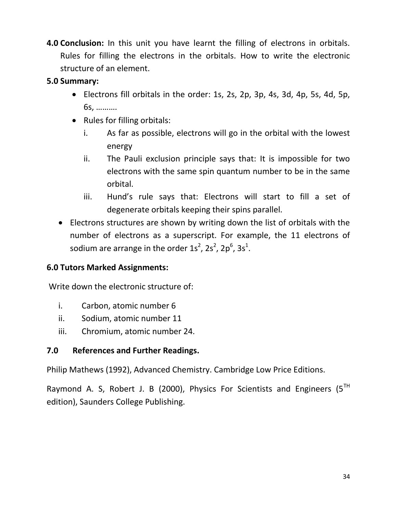**4.0 Conclusion:** In this unit you have learnt the filling of electrons in orbitals. Rules for filling the electrons in the orbitals. How to write the electronic structure of an element.

### **5.0 Summary:**

- Electrons fill orbitals in the order: 1s, 2s, 2p, 3p, 4s, 3d, 4p, 5s, 4d, 5p, 6s, ……….
- Rules for filling orbitals:
	- i. As far as possible, electrons will go in the orbital with the lowest energy
	- ii. The Pauli exclusion principle says that: It is impossible for two electrons with the same spin quantum number to be in the same orbital.
	- iii. Hund's rule says that: Electrons will start to fill a set of degenerate orbitals keeping their spins parallel.
- Electrons structures are shown by writing down the list of orbitals with the number of electrons as a superscript. For example, the 11 electrons of sodium are arrange in the order  $1s^2$ ,  $2s^2$ ,  $2p^6$ ,  $3s^1$ .

# **6.0 Tutors Marked Assignments:**

Write down the electronic structure of:

- i. Carbon, atomic number 6
- ii. Sodium, atomic number 11
- iii. Chromium, atomic number 24.

# **7.0 References and Further Readings.**

Philip Mathews (1992), Advanced Chemistry. Cambridge Low Price Editions.

Raymond A. S, Robert J. B (2000), Physics For Scientists and Engineers ( $5<sup>TH</sup>$ edition), Saunders College Publishing.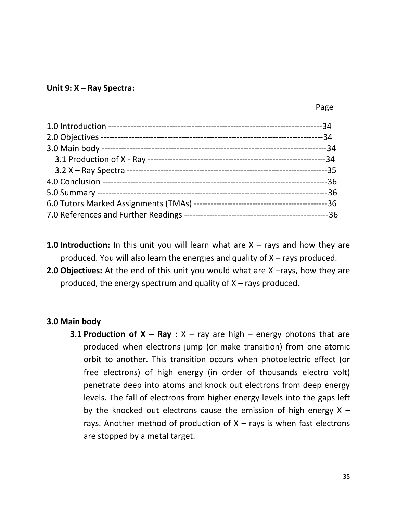#### **Unit 9: X – Ray Spectra:**

Page

| $3.2 X - Ray Spectra$                  |  |
|----------------------------------------|--|
|                                        |  |
|                                        |  |
|                                        |  |
| 7.0 References and Further Readings -- |  |

- **1.0 Introduction:** In this unit you will learn what are X rays and how they are produced. You will also learn the energies and quality of X – rays produced.
- **2.0 Objectives:** At the end of this unit you would what are X –rays, how they are produced, the energy spectrum and quality of X – rays produced.

#### **3.0 Main body**

**3.1 Production of X – Ray :** X – ray are high – energy photons that are produced when electrons jump (or make transition) from one atomic orbit to another. This transition occurs when photoelectric effect (or free electrons) of high energy (in order of thousands electro volt) penetrate deep into atoms and knock out electrons from deep energy levels. The fall of electrons from higher energy levels into the gaps left by the knocked out electrons cause the emission of high energy  $X$ rays. Another method of production of  $X$  – rays is when fast electrons are stopped by a metal target.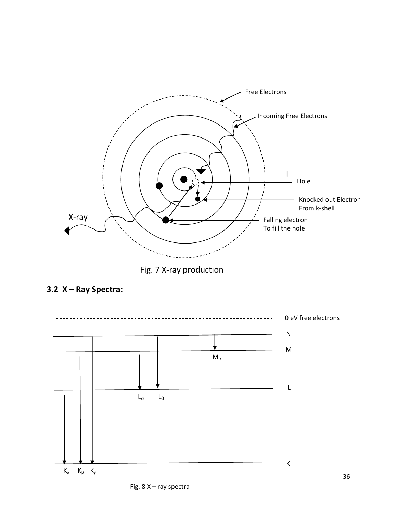

Fig. 7 X-ray production



# **3.2 X – Ray Spectra:**

Fig. 8 X – ray spectra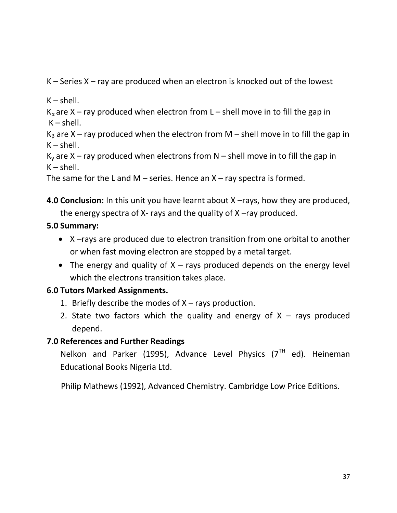K – Series X – ray are produced when an electron is knocked out of the lowest

 $K - shell$ .

 $K_{\alpha}$  are X – ray produced when electron from L – shell move in to fill the gap in  $K -$ shell.

 $K_{\beta}$  are X – ray produced when the electron from M – shell move in to fill the gap in  $K - shell$ .

 $K<sub>v</sub>$  are X – ray produced when electrons from N – shell move in to fill the gap in  $K - shell$ .

The same for the L and M – series. Hence an  $X$  – ray spectra is formed.

**4.0 Conclusion:** In this unit you have learnt about X –rays, how they are produced, the energy spectra of X- rays and the quality of X –ray produced.

### **5.0 Summary:**

- X –rays are produced due to electron transition from one orbital to another or when fast moving electron are stopped by a metal target.
- The energy and quality of  $X$  rays produced depends on the energy level which the electrons transition takes place.

### **6.0 Tutors Marked Assignments.**

- 1. Briefly describe the modes of  $X$  rays production.
- 2. State two factors which the quality and energy of  $X -$  rays produced depend.

### **7.0 References and Further Readings**

Nelkon and Parker (1995), Advance Level Physics ( $7<sup>TH</sup>$  ed). Heineman Educational Books Nigeria Ltd.

Philip Mathews (1992), Advanced Chemistry. Cambridge Low Price Editions.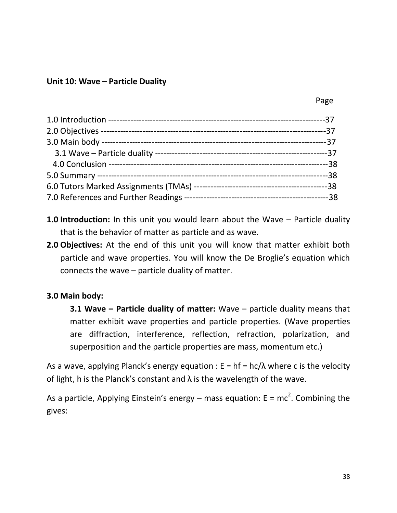#### **Unit 10: Wave – Particle Duality**

| 7.0 References and Further Readings |  |
|-------------------------------------|--|

- **1.0 Introduction:** In this unit you would learn about the Wave Particle duality that is the behavior of matter as particle and as wave.
- **2.0 Objectives:** At the end of this unit you will know that matter exhibit both particle and wave properties. You will know the De Broglie's equation which connects the wave – particle duality of matter.

### **3.0 Main body:**

**3.1 Wave – Particle duality of matter:** Wave – particle duality means that matter exhibit wave properties and particle properties. (Wave properties are diffraction, interference, reflection, refraction, polarization, and superposition and the particle properties are mass, momentum etc.)

As a wave, applying Planck's energy equation :  $E = hf = hc/\lambda$  where c is the velocity of light, h is the Planck's constant and  $\lambda$  is the wavelength of the wave.

As a particle, Applying Einstein's energy – mass equation:  $E = mc^2$ . Combining the gives: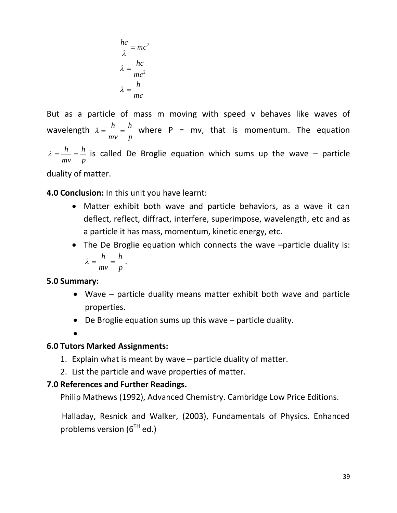$$
\frac{hc}{\lambda} = mc^2
$$

$$
\lambda = \frac{hc}{mc^2}
$$

$$
\lambda = \frac{h}{mc}
$$

But as a particle of mass m moving with speed v behaves like waves of wavelength *p h mv*  $\lambda = \frac{h}{m} = \frac{h}{m}$  where P = mv, that is momentum. The equation *p h mv*  $\lambda = \frac{h}{m} = \frac{h}{m}$  is called De Broglie equation which sums up the wave – particle

duality of matter.

**4.0 Conclusion:** In this unit you have learnt:

- Matter exhibit both wave and particle behaviors, as a wave it can deflect, reflect, diffract, interfere, superimpose, wavelength, etc and as a particle it has mass, momentum, kinetic energy, etc.
- The De Broglie equation which connects the wave –particle duality is: *p h mv*  $\lambda = \frac{h}{h} = \frac{h}{h}$ .

#### **5.0 Summary:**

- Wave particle duality means matter exhibit both wave and particle properties.
- De Broglie equation sums up this wave particle duality.
- $\bullet$

#### **6.0 Tutors Marked Assignments:**

- 1. Explain what is meant by wave particle duality of matter.
- 2. List the particle and wave properties of matter.

#### **7.0 References and Further Readings.**

Philip Mathews (1992), Advanced Chemistry. Cambridge Low Price Editions.

Halladay, Resnick and Walker, (2003), Fundamentals of Physics. Enhanced problems version ( $6<sup>TH</sup>$  ed.)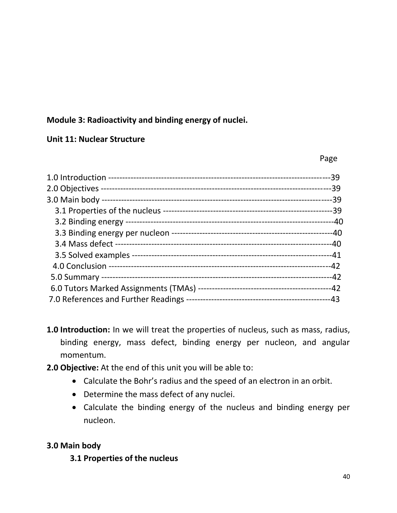### **Module 3: Radioactivity and binding energy of nuclei.**

#### **Unit 11: Nuclear Structure**

- **1.0 Introduction:** In we will treat the properties of nucleus, such as mass, radius, binding energy, mass defect, binding energy per nucleon, and angular momentum.
- **2.0 Objective:** At the end of this unit you will be able to:
	- Calculate the Bohr's radius and the speed of an electron in an orbit.
	- Determine the mass defect of any nuclei.
	- Calculate the binding energy of the nucleus and binding energy per nucleon.

# **3.0 Main body**

### **3.1 Properties of the nucleus**

Page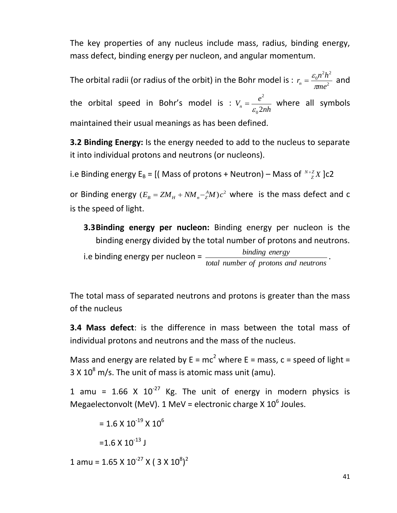The key properties of any nucleus include mass, radius, binding energy, mass defect, binding energy per nucleon, and angular momentum.

The orbital radii (or radius of the orbit) in the Bohr model is :  $r_n = \frac{\epsilon_0 n + n}{2 \pi r^2}$  $2<sub>L</sub>$ <sub>2</sub> 0 *me*  $r_n = \frac{\varepsilon_0 n^2 h}{\pi n e^2}$  $=\frac{\mathcal{E}_0 n^2 h^2}{2}$  and the orbital speed in Bohr's model is : *nh*  $V_n = \frac{e}{\sqrt{2}}$  $\sqrt{2}$ 2  $=\frac{e}{\varepsilon_0 2nh}$  where all symbols maintained their usual meanings as has been defined.

**3.2 Binding Energy:** Is the energy needed to add to the nucleus to separate it into individual protons and neutrons (or nucleons).

i.e Binding energy  $E_B = [($  Mass of protons + Neutron) – Mass of  $\frac{N+Z}{Z}X$ *Z*  $\frac{Z}{Z}$  $X$ ]c2

or Binding energy  $(E_B = ZM_H + NM_p - {}^A_ZM)c^2$  $\mathcal{L}_B = Z M_H + N M_n - {}^A_Z M c^2$  where is the mass defect and c is the speed of light.

**3.3Binding energy per nucleon:** Binding energy per nucleon is the binding energy divided by the total number of protons and neutrons.

i.e binding energy per nucleon = *total number of protons and neutrons binding energy*

The total mass of separated neutrons and protons is greater than the mass of the nucleus

**3.4 Mass defect**: is the difference in mass between the total mass of individual protons and neutrons and the mass of the nucleus.

Mass and energy are related by  $E = mc^2$  where  $E = mass$ ,  $c = speed$  of light =  $3 \times 10^8$  m/s. The unit of mass is atomic mass unit (amu).

1 amu =  $1.66 \times 10^{-27}$  Kg. The unit of energy in modern physics is Megaelectonvolt (MeV). 1 MeV = electronic charge X  $10^6$  Joules.

$$
= 1.6 \times 10^{-19} \times 10^{6}
$$

$$
= 1.6 \times 10^{-13} \text{ J}
$$

$$
1 \text{ amu} = 1.65 \times 10^{-27} \times (3 \times 10^{8})^{2}
$$

.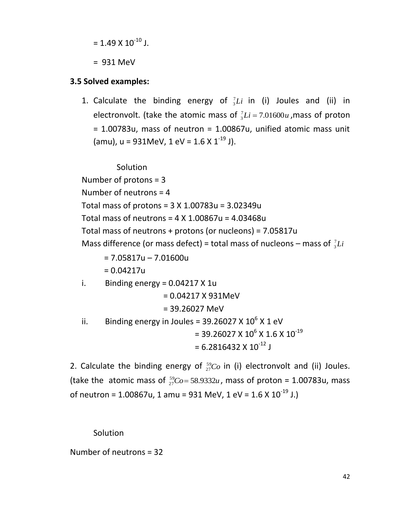$= 1.49 \times 10^{-10}$  J.

 $= 931$  MeV

#### **3.5 Solved examples:**

1. Calculate the binding energy of  ${}_{3}^{7}Li$  in (i) Joules and (ii) in electronvolt. (take the atomic mass of  ${}_{3}^{7}Li = 7.01600u$ , mass of proton  $= 1.00783u$ , mass of neutron  $= 1.00867u$ , unified atomic mass unit (amu),  $u = 931$ MeV,  $1$  eV = 1.6 X  $1^{19}$  J).

**Solution** Number of protons = 3 Number of neutrons = 4 Total mass of protons = 3 X 1.00783u = 3.02349u Total mass of neutrons =  $4 \times 1.00867u = 4.03468u$ Total mass of neutrons + protons (or nucleons) = 7.05817u Mass difference (or mass defect) = total mass of nucleons  $-$  mass of  ${}_{3}^{7}Li$  $= 7.05817u - 7.01600u$  = 0.04217u i. Binding energy =  $0.04217 \times 1u$ = 0.04217 X 931MeV  $= 39.26027$  MeV ii. Binding energy in Joules = 39.26027 X  $10^6$  X 1 eV = 39.26027 X  $10^6$  X  $1.6$  X  $10^{-19}$  $= 6.2816432 \times 10^{-12}$  J

2. Calculate the binding energy of  $_{27}^{59}Co$  in (i) electronvolt and (ii) Joules. (take the atomic mass of  $^{59}_{27}Co = 58.9332u$ , mass of proton = 1.00783u, mass of neutron =  $1.00867u$ , 1 amu = 931 MeV, 1 eV =  $1.6$  X  $10^{-19}$  J.)

**Solution** 

Number of neutrons = 32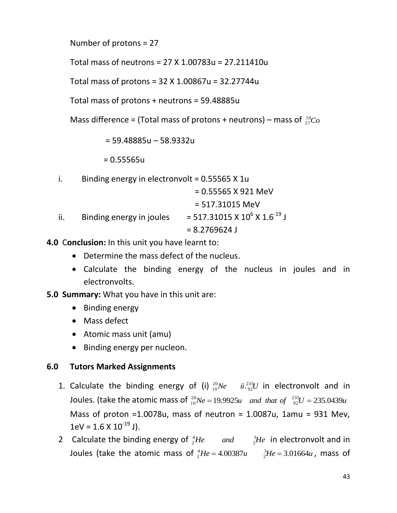Number of protons = 27

Total mass of neutrons = 27 X 1.00783u = 27.211410u

Total mass of protons = 32 X 1.00867u = 32.27744u

Total mass of protons + neutrons = 59.48885u

Mass difference = (Total mass of protons + neutrons) – mass of  $\frac{59}{27}Co$ 

= 59.48885u – 58.9332u

 $= 0.55565u$ 

- i. Binding energy in electronvolt =  $0.55565$  X 1u
- = 0.55565 X 921 MeV = 517.31015 MeV  $ii.$  Binding energy in joules  $= 517.31015 \times 10^{6} \times 1.6^{19}$  J  $= 8.2769624$  J

**4.0** C**onclusion:** In this unit you have learnt to:

- Determine the mass defect of the nucleus.
- Calculate the binding energy of the nucleus in joules and in electronvolts.
- **5.0 Summary:** What you have in this unit are:
	- Binding energy
	- Mass defect
	- Atomic mass unit (amu)
	- Binding energy per nucleon.

#### **6.0 Tutors Marked Assignments**

- 1. Calculate the binding energy of (i)  $^{20}_{10}Ne$  ii.  $^{235}_{92}U$ 92  $^{20}_{10}Ne$   $ii.^{235}_{92}U$  in electronvolt and in **Joules. (take the atomic mass of**  $^{20}_{10}Ne = 19.9925u$  and that of  $^{235}_{92}U = 235.0439u$ וכ<br>20  $^{20}_{10}Ne = 19.9925u$  and that of  $^{235}_{92}U =$ Mass of proton =  $1.0078u$ , mass of neutron =  $1.0087u$ ,  $1$ amu =  $931$  Mev,  $1 \text{eV} = 1.6 \times 10^{-19} \text{ J}.$
- 2 Calculate the binding energy of  ${}_{2}^{4}He$  and  ${}_{2}^{3}He$ 4  $^{4}_{2}He$  and  $^{3}_{2}He$  in electronvolt and in Joules (take the atomic mass of  ${}_{2}^{4}He = 4.00387u$   ${}_{2}^{3}He = 3.01664u$ 2  $^{4}_{2}He = 4.00387u$   $^{3}_{2}He = 3.01664u$ , mass of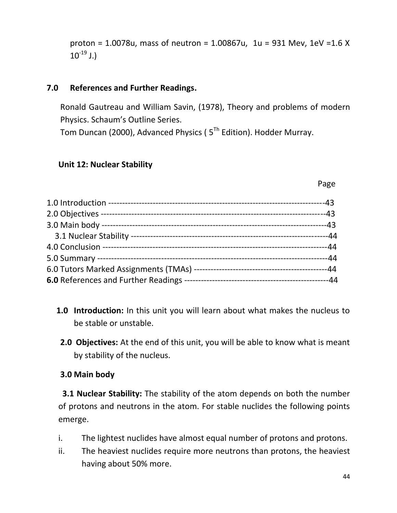proton =  $1.0078u$ , mass of neutron =  $1.00867u$ ,  $1u = 931$  Mev,  $1ev = 1.6$  X  $10^{-19}$  J.)

#### **7.0 References and Further Readings.**

Ronald Gautreau and William Savin, (1978), Theory and problems of modern Physics. Schaum's Outline Series.

Tom Duncan (2000), Advanced Physics (5<sup>Th</sup> Edition). Hodder Murray.

#### **Unit 12: Nuclear Stability**

#### Page

- **1.0 Introduction:** In this unit you will learn about what makes the nucleus to be stable or unstable.
- **2.0 Objectives:** At the end of this unit, you will be able to know what is meant by stability of the nucleus.

#### **3.0 Main body**

 **3.1 Nuclear Stability:** The stability of the atom depends on both the number of protons and neutrons in the atom. For stable nuclides the following points emerge.

- i. The lightest nuclides have almost equal number of protons and protons.
- ii. The heaviest nuclides require more neutrons than protons, the heaviest having about 50% more.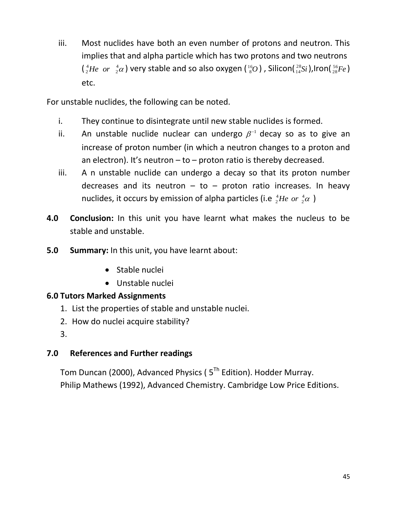iii. Most nuclides have both an even number of protons and neutron. This implies that and alpha particle which has two protons and two neutrons  $\int_{2}^{4}He$  or  $\frac{4}{2}\alpha$ 2  $^{4}_{2}He$  or  $^{4}_{2}\alpha$ ) very stable and so also oxygen ( $^{16}_{8}O$  $_{8}^{6}O$  ) , Silicon( $_{14}^{28}Si$  ),Iron( $_{28}^{56}Fe$  ) etc.

For unstable nuclides, the following can be noted.

- i. They continue to disintegrate until new stable nuclides is formed.
- ii. An unstable nuclide nuclear can undergo  $\beta^{-1}$  decay so as to give an increase of proton number (in which a neutron changes to a proton and an electron). It's neutron  $-$  to  $-$  proton ratio is thereby decreased.
- iii. A n unstable nuclide can undergo a decay so that its proton number decreases and its neutron  $-$  to  $-$  proton ratio increases. In heavy nuclides, it occurs by emission of alpha particles (i.e  ${}^{4}_{2}He$  or  ${}^{4}_{2}\alpha$ 2  $^{4}_{2}He$  or  $^{4}_{2}\alpha$  )
- **4.0 Conclusion:** In this unit you have learnt what makes the nucleus to be stable and unstable.
- **5.0 Summary:** In this unit, you have learnt about:
	- Stable nuclei
	- Unstable nuclei

# **6.0 Tutors Marked Assignments**

- 1. List the properties of stable and unstable nuclei.
- 2. How do nuclei acquire stability?
- 3.

# **7.0 References and Further readings**

Tom Duncan (2000), Advanced Physics (  $5^{\text{Th}}$  Edition). Hodder Murray. Philip Mathews (1992), Advanced Chemistry. Cambridge Low Price Editions.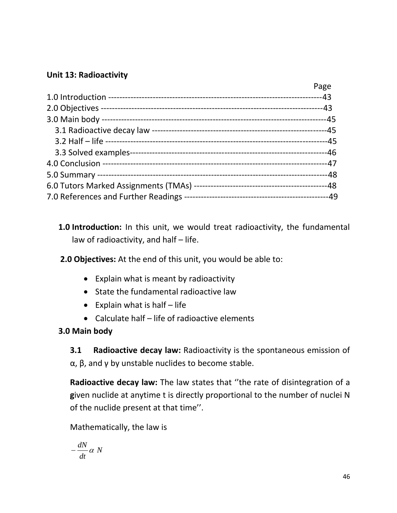### **Unit 13: Radioactivity**

|                                     | rage |
|-------------------------------------|------|
|                                     |      |
|                                     |      |
|                                     |      |
|                                     |      |
|                                     |      |
|                                     |      |
|                                     |      |
|                                     |      |
|                                     |      |
| 7.0 References and Further Readings |      |

**1.0 Introduction:** In this unit, we would treat radioactivity, the fundamental law of radioactivity, and half – life.

**2.0 Objectives:** At the end of this unit, you would be able to:

- Explain what is meant by radioactivity
- State the fundamental radioactive law
- $\bullet$  Explain what is half  $-$  life
- Calculate half life of radioactive elements

# **3.0 Main body**

**3.1 Radioactive decay law:** Radioactivity is the spontaneous emission of α, β, and γ by unstable nuclides to become stable.

**Radioactive decay law:** The law states that ''the rate of disintegration of a **g**iven nuclide at anytime t is directly proportional to the number of nuclei N of the nuclide present at that time''.

Mathematically, the law is

*N dt*  $-\frac{dN}{d\alpha}$ 

Page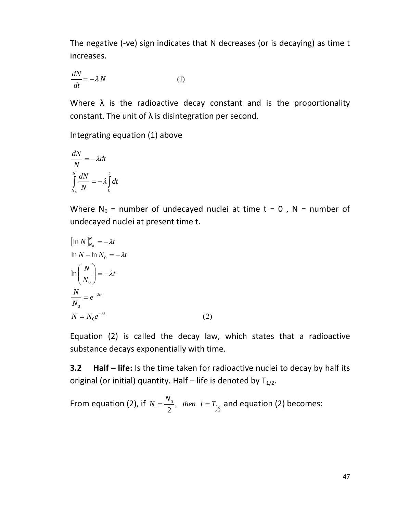The negative (-ve) sign indicates that N decreases (or is decaying) as time t increases.

$$
\frac{dN}{dt} = -\lambda N\tag{1}
$$

Where  $\lambda$  is the radioactive decay constant and is the proportionality constant. The unit of  $\lambda$  is disintegration per second.

Integrating equation (1) above

$$
\frac{dN}{N} = -\lambda dt
$$

$$
\int_{N_0}^{N} \frac{dN}{N} = -\lambda \int_{0}^{t} dt
$$

Where  $N_0$  = number of undecayed nuclei at time  $t = 0$ , N = number of undecayed nuclei at present time t.

$$
[\ln N]_{N_0}^N = -\lambda t
$$
  
\n
$$
\ln N - \ln N_0 = -\lambda t
$$
  
\n
$$
\ln \left(\frac{N}{N_0}\right) = -\lambda t
$$
  
\n
$$
\frac{N}{N_0} = e^{-\lambda t}
$$
  
\n
$$
N = N_0 e^{-\lambda t}
$$
\n(2)

Equation (2) is called the decay law, which states that a radioactive substance decays exponentially with time.

**3.2 Half – life:** Is the time taken for radioactive nuclei to decay by half its original (or initial) quantity. Half – life is denoted by  $T_{1/2}$ .

From equation (2), if  $N = \frac{N_0}{2}$ , then  $t = T_{\frac{1}{2}}$ 2  $N = \frac{N_0}{2}$ , *then*  $t = T_{1/2}$  and equation (2) becomes: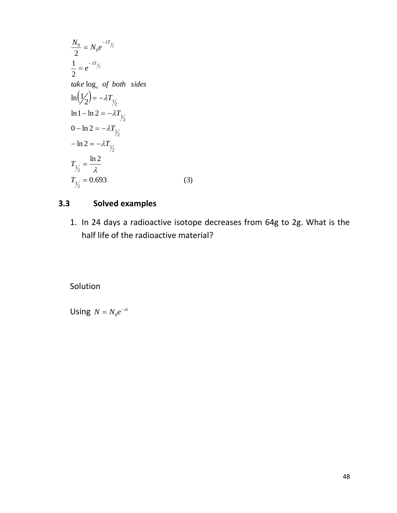$$
\frac{N_0}{2} = N_0 e^{-\lambda T} \frac{N_2}{2}
$$
  
\n
$$
\frac{1}{2} = e^{-\lambda T} \frac{N_2}{2}
$$
  
\n
$$
\ln(1/\lambda) = -\lambda T \frac{N_2}{2}
$$
  
\n
$$
\ln 1 - \ln 2 = -\lambda T \frac{N_2}{2}
$$
  
\n
$$
0 - \ln 2 = -\lambda T \frac{N_2}{2}
$$
  
\n
$$
T \frac{N_2}{2} = \frac{\ln 2}{\lambda}
$$
  
\n
$$
T \frac{N_2}{2} = 0.693
$$
 (3)

### **3.3 Solved examples**

1. In 24 days a radioactive isotope decreases from 64g to 2g. What is the half life of the radioactive material?

Solution

Using  $N = N_0 e^{-\lambda t}$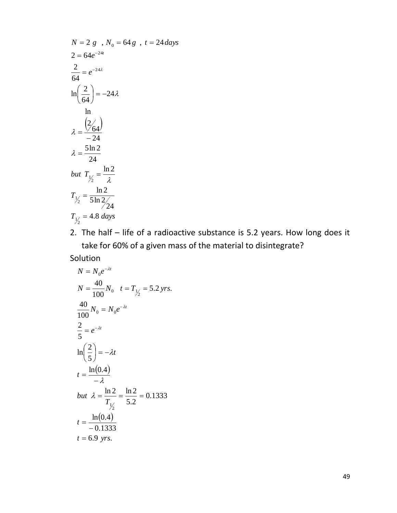$$
N = 2 g, N_0 = 64 g, t = 24 days
$$
  
\n
$$
2 = 64e^{-24t}
$$
  
\n
$$
\frac{2}{64} = e^{-24\lambda}
$$
  
\n
$$
\ln\left(\frac{2}{64}\right) = -24\lambda
$$
  
\n
$$
\ln\lambda = \frac{\binom{2}{64}}{-24}
$$
  
\n
$$
\lambda = \frac{5 \ln 2}{24}
$$
  
\nbut  $T_{\frac{1}{2}} = \frac{\ln 2}{\lambda}$   
\n $T_{\frac{1}{2}} = \frac{\ln 2}{5 \ln 2/24}$   
\n $T_{\frac{1}{2}} = 4.8 days$ 

2. The half – life of a radioactive substance is 5.2 years. How long does it take for 60% of a given mass of the material to disintegrate?

Solution

$$
N = N_0 e^{-\lambda t}
$$
  
\n
$$
N = \frac{40}{100} N_0 \quad t = T_{\frac{1}{2}} = 5.2 \text{ yrs.}
$$
  
\n
$$
\frac{40}{100} N_0 = N_0 e^{-\lambda t}
$$
  
\n
$$
\frac{2}{5} = e^{-\lambda t}
$$
  
\n
$$
\ln\left(\frac{2}{5}\right) = -\lambda t
$$
  
\n
$$
t = \frac{\ln(0.4)}{-\lambda}
$$
  
\nbut  $\lambda = \frac{\ln 2}{T_{\frac{1}{2}}} = \frac{\ln 2}{5.2} = 0.1333$   
\n
$$
t = \frac{\ln(0.4)}{-0.1333}
$$
  
\n
$$
t = 6.9 \text{ yrs.}
$$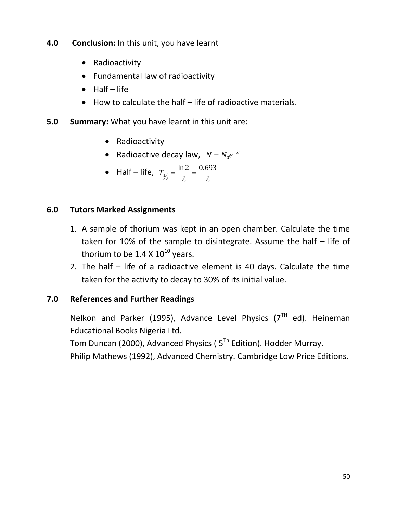#### **4.0 Conclusion:** In this unit, you have learnt

- Radioactivity
- Fundamental law of radioactivity
- $\bullet$  Half life
- How to calculate the half life of radioactive materials.
- **5.0 Summary:** What you have learnt in this unit are:
	- Radioactivity
	- Radioactive decay law,  $N = N_0 e^{-\lambda t}$

• Half– life, 
$$
T_{\frac{1}{2}} = \frac{\ln 2}{\lambda} = \frac{0.693}{\lambda}
$$

### **6.0 Tutors Marked Assignments**

- 1. A sample of thorium was kept in an open chamber. Calculate the time taken for 10% of the sample to disintegrate. Assume the half – life of thorium to be  $1.4 \times 10^{10}$  years.
- 2. The half life of a radioactive element is 40 days. Calculate the time taken for the activity to decay to 30% of its initial value.

### **7.0 References and Further Readings**

Nelkon and Parker (1995), Advance Level Physics ( $7<sup>TH</sup>$  ed). Heineman Educational Books Nigeria Ltd.

Tom Duncan (2000), Advanced Physics ( $5<sup>Th</sup> Edition$ ). Hodder Murray.

Philip Mathews (1992), Advanced Chemistry. Cambridge Low Price Editions.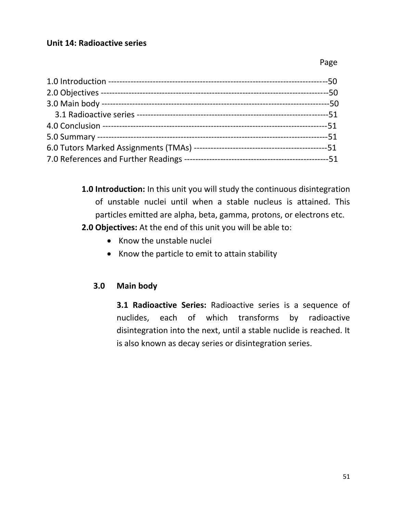#### **Unit 14: Radioactive series**

| 7.0 References and Further Readings --- |  |
|-----------------------------------------|--|

**1.0 Introduction:** In this unit you will study the continuous disintegration of unstable nuclei until when a stable nucleus is attained. This particles emitted are alpha, beta, gamma, protons, or electrons etc.

- **2.0 Objectives:** At the end of this unit you will be able to:
	- Know the unstable nuclei
	- Know the particle to emit to attain stability

# **3.0 Main body**

**3.1 Radioactive Series:** Radioactive series is a sequence of nuclides, each of which transforms by radioactive disintegration into the next, until a stable nuclide is reached. It is also known as decay series or disintegration series.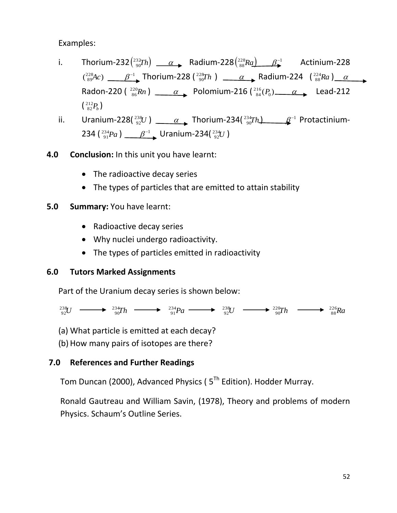Examples:

- i. Thorium-232 $\binom{232}{90}Th$  $\left( \begin{matrix} 3228 \ 90T h \end{matrix} \right)$   $\qquad \alpha$  Radium-228 $\left( \begin{matrix} 228 \ 88}Ra \end{matrix} \right)$  $\frac{\beta_{88}^{228}Ra)}{88}$  Actinium-228  $\left(\frac{228}{89}Ac\right)$  <u> $\beta^{-1}$ </u> Thorium-228  $\left(\frac{228}{90}Th\right)$  <u> $\alpha$ </u> Radium-224  $\left(\frac{224}{88}Ra\right)$   $\alpha$ Radon-220 ( $\frac{220}{86}Rn$ ) <u>a</u> Polomium-216 ( $\frac{216}{84}(P_0)$  $R_{84}^{216}(P_0)$   $\alpha$  **Lead-212**  $\binom{212}{82}P_b$  $_{\text{82}}^{\text{12}}P_{b}$  )
- ii. Uranium-228( $\frac{238}{92}U$  $\frac{\partial^{238} U}{\partial^{229}}$ ) <u>a</u> Thorium-234( $\frac{^{234} Th$ )  $\beta^{-1}$  Protactinium-234 ( $^{234}_{91}Pa$ )  $\_\_\beta^{0-1}$  Uranium-234( $^{234}_{92}U$  $_{92}^{\scriptscriptstyle 134}U$  )
- **4.0 Conclusion:** In this unit you have learnt:
	- The radioactive decay series
	- The types of particles that are emitted to attain stability
- **5.0 Summary:** You have learnt:
	- Radioactive decay series
	- Why nuclei undergo radioactivity.
	- The types of particles emitted in radioactivity

# **6.0 Tutors Marked Assignments**

Part of the Uranium decay series is shown below:



(a) What particle is emitted at each decay?

(b) How many pairs of isotopes are there?

# **7.0 References and Further Readings**

Tom Duncan (2000), Advanced Physics ( $5<sup>Th</sup>$  Edition). Hodder Murray.

Ronald Gautreau and William Savin, (1978), Theory and problems of modern Physics. Schaum's Outline Series.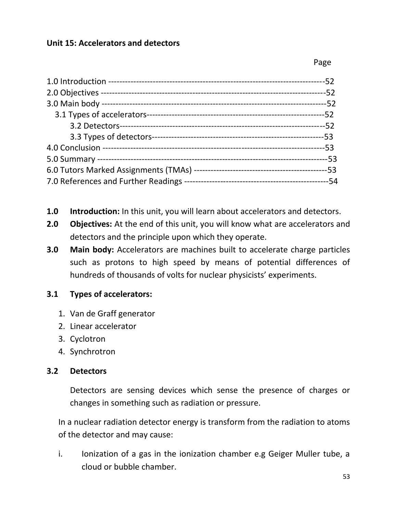### **Unit 15: Accelerators and detectors**

Page

| 3.1 Types of accelerators-          |  |
|-------------------------------------|--|
|                                     |  |
|                                     |  |
|                                     |  |
|                                     |  |
|                                     |  |
| 7.0 References and Further Readings |  |
|                                     |  |

- **1.0 Introduction:** In this unit, you will learn about accelerators and detectors.
- **2.0 Objectives:** At the end of this unit, you will know what are accelerators and detectors and the principle upon which they operate.
- **3.0 Main body:** Accelerators are machines built to accelerate charge particles such as protons to high speed by means of potential differences of hundreds of thousands of volts for nuclear physicists' experiments.

### **3.1 Types of accelerators:**

- 1. Van de Graff generator
- 2. Linear accelerator
- 3. Cyclotron
- 4. Synchrotron

#### **3.2 Detectors**

Detectors are sensing devices which sense the presence of charges or changes in something such as radiation or pressure.

In a nuclear radiation detector energy is transform from the radiation to atoms of the detector and may cause:

i. Ionization of a gas in the ionization chamber e.g Geiger Muller tube, a cloud or bubble chamber.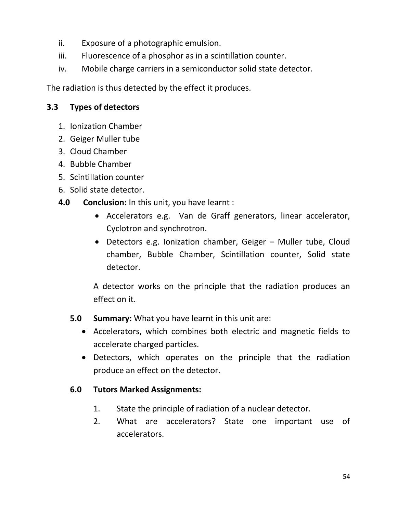- ii. Exposure of a photographic emulsion.
- iii. Fluorescence of a phosphor as in a scintillation counter.
- iv. Mobile charge carriers in a semiconductor solid state detector.

The radiation is thus detected by the effect it produces.

### **3.3 Types of detectors**

- 1. Ionization Chamber
- 2. Geiger Muller tube
- 3. Cloud Chamber
- 4. Bubble Chamber
- 5. Scintillation counter
- 6. Solid state detector.
- **4.0 Conclusion:** In this unit, you have learnt :
	- Accelerators e.g. Van de Graff generators, linear accelerator, Cyclotron and synchrotron.
	- Detectors e.g. Ionization chamber, Geiger Muller tube, Cloud chamber, Bubble Chamber, Scintillation counter, Solid state detector.

A detector works on the principle that the radiation produces an effect on it.

- **5.0 Summary:** What you have learnt in this unit are:
	- Accelerators, which combines both electric and magnetic fields to accelerate charged particles.
	- Detectors, which operates on the principle that the radiation produce an effect on the detector.

# **6.0 Tutors Marked Assignments:**

- 1. State the principle of radiation of a nuclear detector.
- 2. What are accelerators? State one important use of accelerators.